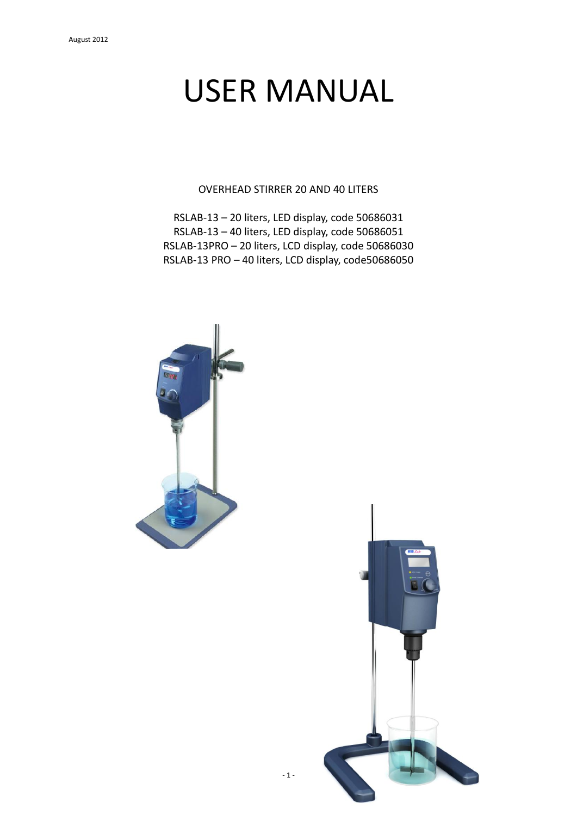# USER MANUAL

OVERHEAD STIRRER 20 AND 40 LITERS

RSLAB-13 – 20 liters, LED display, code 50686031 RSLAB-13 – 40 liters, LED display, code 50686051 RSLAB-13PRO – 20 liters, LCD display, code 50686030 RSLAB-13 PRO – 40 liters, LCD display, code50686050



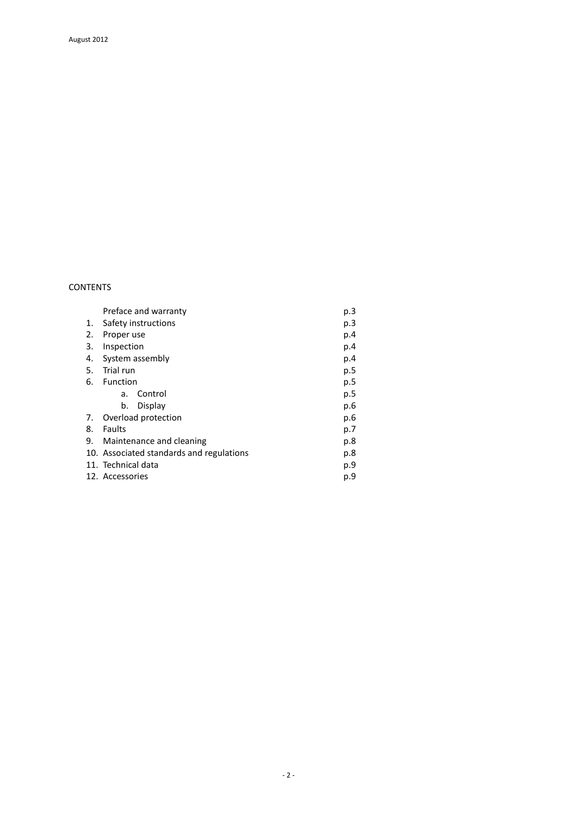# CONTENTS

|    | Preface and warranty                            | p.3 |
|----|-------------------------------------------------|-----|
| 1. | Safety instructions                             | p.3 |
| 2. | Proper use                                      | p.4 |
| 3. | Inspection                                      | p.4 |
| 4. | System assembly                                 |     |
| 5. | Trial run                                       | p.5 |
| 6. | Function                                        | p.5 |
|    | Control<br>a.                                   | p.5 |
|    | Display<br>b.                                   | p.6 |
| 7. | Overload protection                             | p.6 |
| 8. | Faults<br>p.7                                   |     |
| 9. | Maintenance and cleaning<br>p.8                 |     |
|    | 10. Associated standards and regulations<br>p.8 |     |
|    | 11. Technical data<br>p.9                       |     |
|    | 12. Accessories<br>p.9                          |     |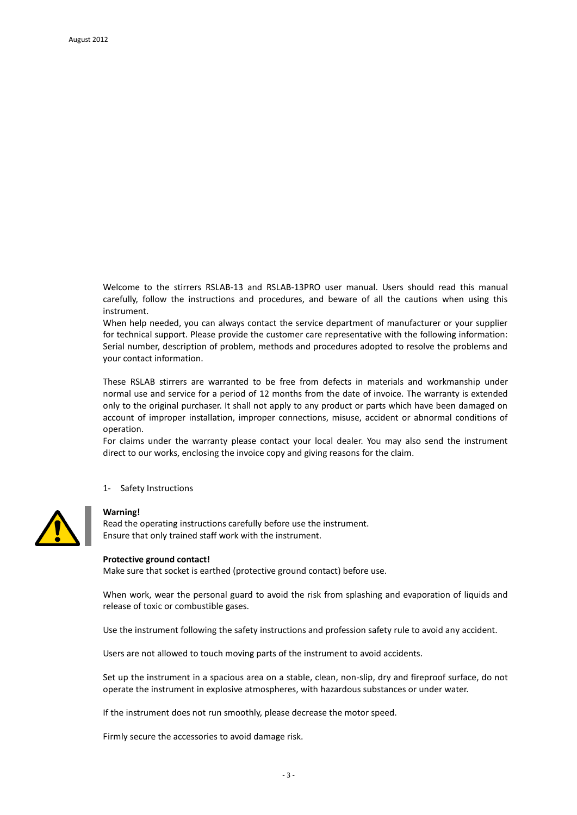Welcome to the stirrers RSLAB-13 and RSLAB-13PRO user manual. Users should read this manual carefully, follow the instructions and procedures, and beware of all the cautions when using this instrument.

When help needed, you can always contact the service department of manufacturer or your supplier for technical support. Please provide the customer care representative with the following information: Serial number, description of problem, methods and procedures adopted to resolve the problems and your contact information.

These RSLAB stirrers are warranted to be free from defects in materials and workmanship under normal use and service for a period of 12 months from the date of invoice. The warranty is extended only to the original purchaser. It shall not apply to any product or parts which have been damaged on account of improper installation, improper connections, misuse, accident or abnormal conditions of operation.

For claims under the warranty please contact your local dealer. You may also send the instrument direct to our works, enclosing the invoice copy and giving reasons for the claim.

1- Safety Instructions



## **Warning!**

Read the operating instructions carefully before use the instrument. Ensure that only trained staff work with the instrument.

#### **Protective ground contact!**

Make sure that socket is earthed (protective ground contact) before use.

When work, wear the personal guard to avoid the risk from splashing and evaporation of liquids and release of toxic or combustible gases.

Use the instrument following the safety instructions and profession safety rule to avoid any accident.

Users are not allowed to touch moving parts of the instrument to avoid accidents*.* 

Set up the instrument in a spacious area on a stable, clean, non-slip, dry and fireproof surface, do not operate the instrument in explosive atmospheres, with hazardous substances or under water.

If the instrument does not run smoothly, please decrease the motor speed.

Firmly secure the accessories to avoid damage risk.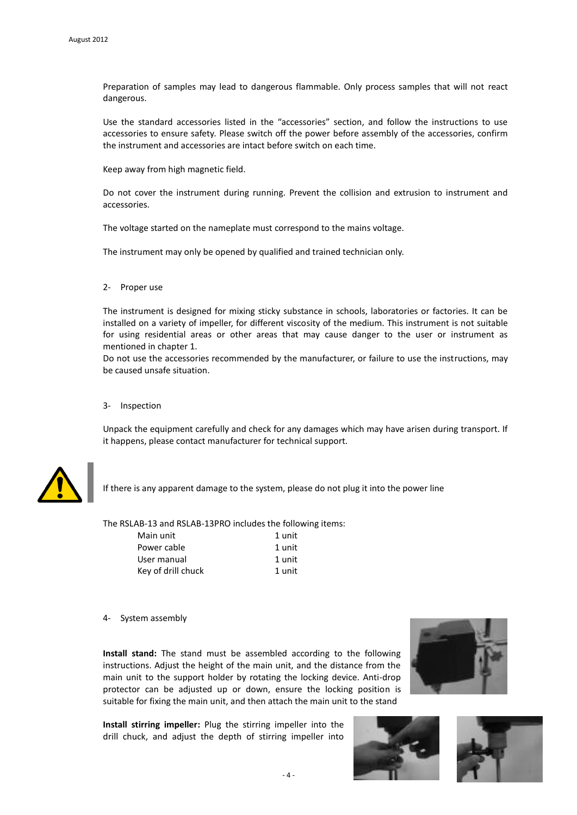Preparation of samples may lead to dangerous flammable. Only process samples that will not react dangerous.

Use the standard accessories listed in the "accessories" section, and follow the instructions to use accessories to ensure safety. Please switch off the power before assembly of the accessories, confirm the instrument and accessories are intact before switch on each time.

Keep away from high magnetic field.

Do not cover the instrument during running. Prevent the collision and extrusion to instrument and accessories.

The voltage started on the nameplate must correspond to the mains voltage.

The instrument may only be opened by qualified and trained technician only.

#### 2- Proper use

The instrument is designed for mixing sticky substance in schools, laboratories or factories. It can be installed on a variety of impeller, for different viscosity of the medium. This instrument is not suitable for using residential areas or other areas that may cause danger to the user or instrument as mentioned in chapter 1.

Do not use the accessories recommended by the manufacturer, or failure to use the instructions, may be caused unsafe situation.

#### 3- Inspection

Unpack the equipment carefully and check for any damages which may have arisen during transport. If it happens, please contact manufacturer for technical support.



If there is any apparent damage to the system, please do not plug it into the power line

The RSLAB-13 and RSLAB-13PRO includes the following items:

| Main unit          | 1 unit |
|--------------------|--------|
| Power cable        | 1 unit |
| User manual        | 1 unit |
| Key of drill chuck | 1 unit |
|                    |        |

4- System assembly

**Install stand:** The stand must be assembled according to the following instructions. Adjust the height of the main unit, and the distance from the main unit to the support holder by rotating the locking device. Anti-drop protector can be adjusted up or down, ensure the locking position is suitable for fixing the main unit, and then attach the main unit to the stand

**Install stirring impeller:** Plug the stirring impeller into the drill chuck, and adjust the depth of stirring impeller into





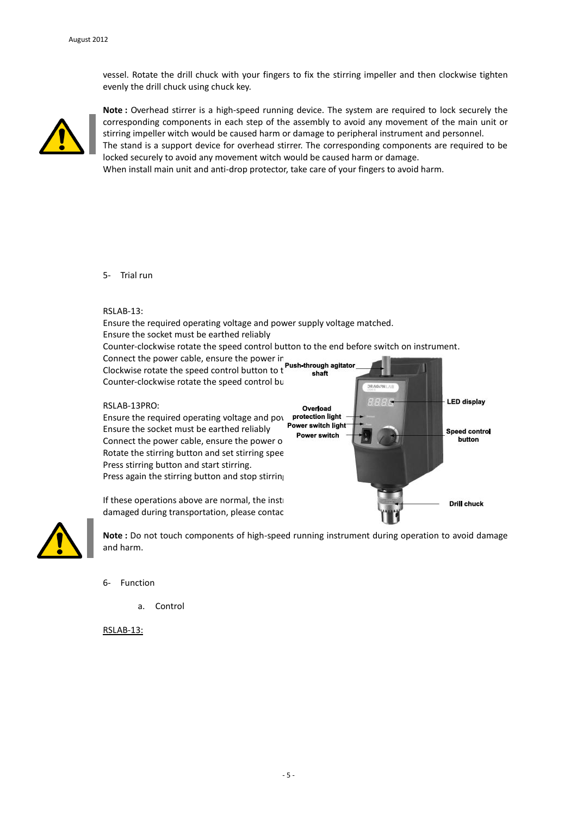vessel. Rotate the drill chuck with your fingers to fix the stirring impeller and then clockwise tighten evenly the drill chuck using chuck key.



**Note :** Overhead stirrer is a high-speed running device. The system are required to lock securely the corresponding components in each step of the assembly to avoid any movement of the main unit or stirring impeller witch would be caused harm or damage to peripheral instrument and personnel.

The stand is a support device for overhead stirrer. The corresponding components are required to be locked securely to avoid any movement witch would be caused harm or damage.

When install main unit and anti-drop protector, take care of your fingers to avoid harm.

# 5- Trial run

### RSLAB-13:

Ensure the required operating voltage and power supply voltage matched. Ensure the socket must be earthed reliably Counter-clockwise rotate the speed control button to the end before switch on instrument.

Connect the power cable, ensure the power in  $\mathcal{L}_{\text{max}}$ Clockwise rotate the speed control button to the speed value of the speed value, and start speed value,  $\frac{1}{2}$ Counter-clockwise rotate the speed control bu

#### RSLAB-13PRO:

Ensure the required operating voltage and power switch light<br>Ensure the socket must be earthed reliably **Power switch light** Ensure the socket must be earthed reliably Ensure the socket must be earthed renably **Power switch**<br>Connect the power cable, ensure the power of Rotate the stirring button and set stirring spee Press stirring button and start stirring. Press again the stirring button and stop stirring





**Note :** Do not touch components of high-speed running instrument during operation to avoid damage and harm.

- 6- Function
	- a. Control

RSLAB-13: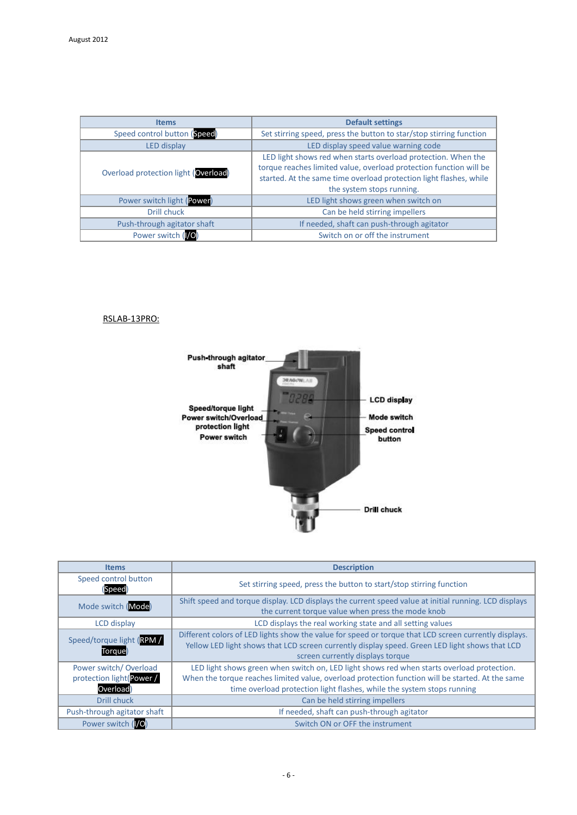| <b>Items</b>                                               | <b>Default settings</b>                                                                                                                                                                                                                |
|------------------------------------------------------------|----------------------------------------------------------------------------------------------------------------------------------------------------------------------------------------------------------------------------------------|
| Speed control button (Speed)                               | Set stirring speed, press the button to star/stop stirring function                                                                                                                                                                    |
| LED display speed value warning code<br><b>LED</b> display |                                                                                                                                                                                                                                        |
| Overload protection light (Overload)                       | LED light shows red when starts overload protection. When the<br>torque reaches limited value, overload protection function will be<br>started. At the same time overload protection light flashes, while<br>the system stops running. |
| Power switch light (Power)                                 | LED light shows green when switch on                                                                                                                                                                                                   |
| Drill chuck                                                | Can be held stirring impellers                                                                                                                                                                                                         |
| Push-through agitator shaft                                | If needed, shaft can push-through agitator                                                                                                                                                                                             |
| Power switch (VO)                                          | Switch on or off the instrument                                                                                                                                                                                                        |

# RSLAB-13PRO:



| <b>Items</b>                                                  | <b>Description</b>                                                                                                                                                                                                                                                       |
|---------------------------------------------------------------|--------------------------------------------------------------------------------------------------------------------------------------------------------------------------------------------------------------------------------------------------------------------------|
| Speed control button<br>(Speed)                               | Set stirring speed, press the button to start/stop stirring function                                                                                                                                                                                                     |
| Mode switch (Mode)                                            | Shift speed and torque display. LCD displays the current speed value at initial running. LCD displays<br>the current torque value when press the mode knob                                                                                                               |
| LCD display                                                   | LCD displays the real working state and all setting values                                                                                                                                                                                                               |
| Speed/torque light (RPM /<br><b>Torque</b>                    | Different colors of LED lights show the value for speed or torque that LCD screen currently displays.<br>Yellow LED light shows that LCD screen currently display speed. Green LED light shows that LCD<br>screen currently displays torque                              |
| Power switch/Overload<br>protection light(Power /<br>Overload | LED light shows green when switch on, LED light shows red when starts overload protection.<br>When the torque reaches limited value, overload protection function will be started. At the same<br>time overload protection light flashes, while the system stops running |
| Drill chuck                                                   | Can be held stirring impellers                                                                                                                                                                                                                                           |
| Push-through agitator shaft                                   | If needed, shaft can push-through agitator                                                                                                                                                                                                                               |
| Power switch (O)                                              | Switch ON or OFF the instrument                                                                                                                                                                                                                                          |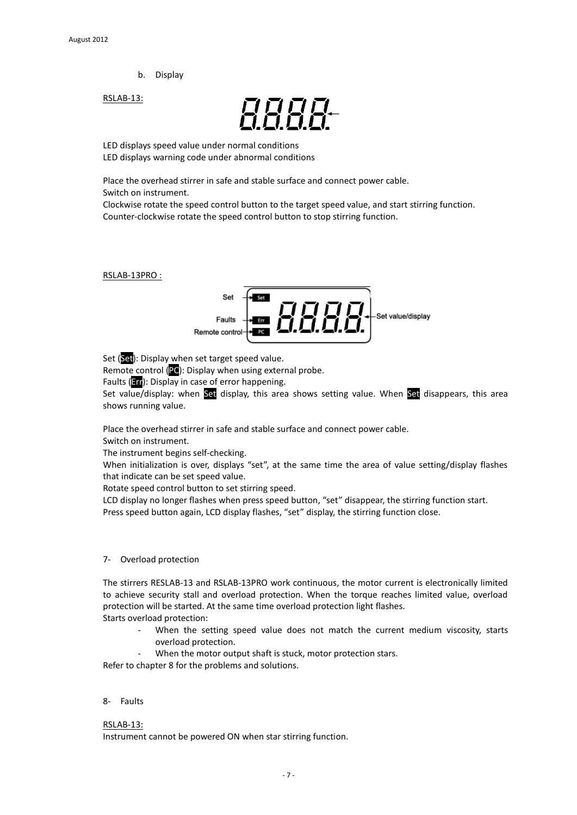b. Display

RSLAB-13:



LED displays speed value under normal conditions LED displays warning code under abnormal conditions

Place the overhead stirrer in safe and stable surface and connect power cable. Switch on instrument.

Clockwise rotate the speed control button to the target speed value, and start stirring function. Counter-clockwise rotate the speed control button to stop stirring function.

RSLAB-13PRO :



Set (Set): Display when set target speed value.

Remote control (PC): Display when using external probe.

Faults (**Err**): Display in case of error happening.

Set value/display: when Set display, this area shows setting value. When Set disappears, this area shows running value.

Place the overhead stirrer in safe and stable surface and connect power cable.

Switch on instrument.

The instrument begins self-checking.

When initialization is over, displays "set", at the same time the area of value setting/display flashes that indicate can be set speed value.

Rotate speed control button to set stirring speed.

LCD display no longer flashes when press speed button, "set" disappear, the stirring function start. Press speed button again, LCD display flashes, "set" display, the stirring function close.

## 7- Overload protection

The stirrers RESLAB-13 and RSLAB-13PRO work continuous, the motor current is electronically limited to achieve security stall and overload protection. When the torque reaches limited value, overload protection will be started. At the same time overload protection light flashes. Starts overload protection:

- When the setting speed value does not match the current medium viscosity, starts overload protection.
- When the motor output shaft is stuck, motor protection stars.

Refer to chapter 8 for the problems and solutions.

## 8- Faults

RSLAB-13:

Instrument cannot be powered ON when star stirring function.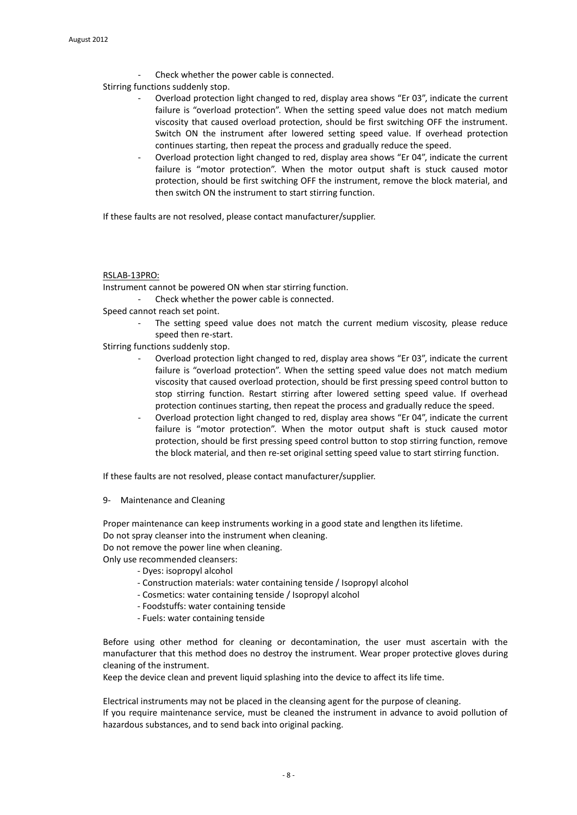Check whether the power cable is connected.

Stirring functions suddenly stop.

- Overload protection light changed to red, display area shows "Er 03", indicate the current failure is "overload protection". When the setting speed value does not match medium viscosity that caused overload protection, should be first switching OFF the instrument. Switch ON the instrument after lowered setting speed value. If overhead protection continues starting, then repeat the process and gradually reduce the speed.
- Overload protection light changed to red, display area shows "Er 04", indicate the current failure is "motor protection". When the motor output shaft is stuck caused motor protection, should be first switching OFF the instrument, remove the block material, and then switch ON the instrument to start stirring function.

If these faults are not resolved, please contact manufacturer/supplier.

## RSLAB-13PRO:

Instrument cannot be powered ON when star stirring function.

Check whether the power cable is connected.

Speed cannot reach set point.

The setting speed value does not match the current medium viscosity, please reduce speed then re-start.

Stirring functions suddenly stop.

- Overload protection light changed to red, display area shows "Er 03", indicate the current failure is "overload protection". When the setting speed value does not match medium viscosity that caused overload protection, should be first pressing speed control button to stop stirring function. Restart stirring after lowered setting speed value. If overhead protection continues starting, then repeat the process and gradually reduce the speed.
- Overload protection light changed to red, display area shows "Er 04", indicate the current failure is "motor protection". When the motor output shaft is stuck caused motor protection, should be first pressing speed control button to stop stirring function, remove the block material, and then re-set original setting speed value to start stirring function.

If these faults are not resolved, please contact manufacturer/supplier.

9- Maintenance and Cleaning

Proper maintenance can keep instruments working in a good state and lengthen its lifetime. Do not spray cleanser into the instrument when cleaning.

Do not remove the power line when cleaning.

Only use recommended cleansers:

- Dyes: isopropyl alcohol
- Construction materials: water containing tenside / Isopropyl alcohol
- Cosmetics: water containing tenside / Isopropyl alcohol
- Foodstuffs: water containing tenside
- Fuels: water containing tenside

Before using other method for cleaning or decontamination, the user must ascertain with the manufacturer that this method does no destroy the instrument. Wear proper protective gloves during cleaning of the instrument.

Keep the device clean and prevent liquid splashing into the device to affect its life time.

Electrical instruments may not be placed in the cleansing agent for the purpose of cleaning. If you require maintenance service, must be cleaned the instrument in advance to avoid pollution of hazardous substances, and to send back into original packing.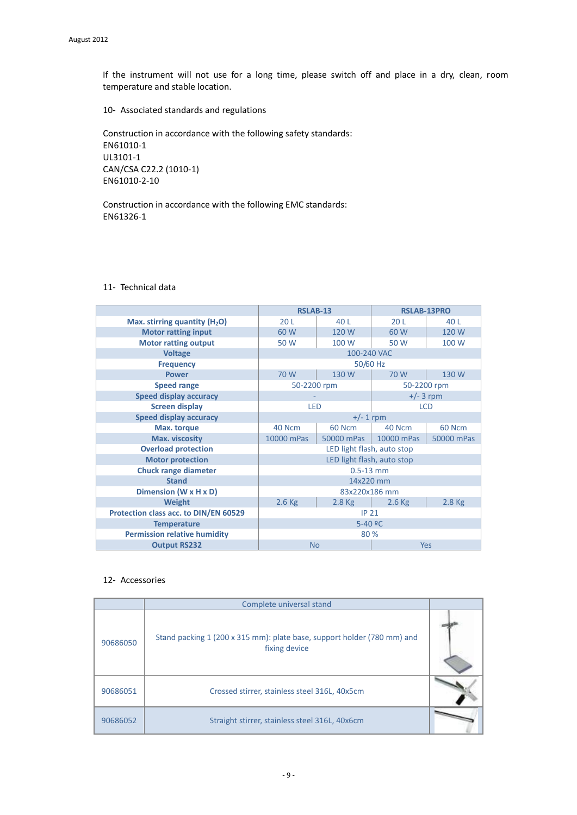If the instrument will not use for a long time, please switch off and place in a dry, clean, room temperature and stable location.

10- Associated standards and regulations

Construction in accordance with the following safety standards: EN61010-1 UL3101-1 CAN/CSA C22.2 (1010-1) EN61010-2-10

Construction in accordance with the following EMC standards: EN61326-1

|                                       | <b>RSLAB-13</b>            |               | <b>RSLAB-13PRO</b> |            |
|---------------------------------------|----------------------------|---------------|--------------------|------------|
| Max. stirring quantity $(H2O)$        | 20L                        | 40 L          | 20L                | 40 L       |
| <b>Motor ratting input</b>            | 60 W                       | 120W          | 60 W               | 120 W      |
| <b>Motor ratting output</b>           | 50 W                       | 100 W         | 50 W               | 100 W      |
| <b>Voltage</b>                        | 100-240 VAC                |               |                    |            |
| <b>Frequency</b>                      | 50/60 Hz                   |               |                    |            |
| <b>Power</b>                          | 70 W                       | 130W          | 70 W               | 130W       |
| <b>Speed range</b>                    | 50-2200 rpm<br>50-2200 rpm |               |                    |            |
| <b>Speed display accuracy</b>         | $+/- 3$ rpm                |               |                    |            |
| <b>Screen display</b>                 | <b>LED</b><br><b>LCD</b>   |               |                    |            |
| <b>Speed display accuracy</b>         | $+/- 1$ rpm                |               |                    |            |
| Max. torque                           | 40 Ncm                     | <b>60 Ncm</b> | 40 Ncm             | 60 Ncm     |
| Max. viscosity                        | 10000 mPas                 | 50000 mPas    | 10000 mPas         | 50000 mPas |
| <b>Overload protection</b>            | LED light flash, auto stop |               |                    |            |
| <b>Motor protection</b>               | LED light flash, auto stop |               |                    |            |
| <b>Chuck range diameter</b>           | $0.5 - 13$ mm              |               |                    |            |
| <b>Stand</b>                          | 14x220 mm                  |               |                    |            |
| Dimension (W x H x D)                 | 83x220x186 mm              |               |                    |            |
| <b>Weight</b>                         | $2.6$ Kg                   | $2.8$ Kg      | $2.6$ Kg           | $2.8$ Kg   |
| Protection class acc. to DIN/EN 60529 | <b>IP 21</b>               |               |                    |            |
| <b>Temperature</b>                    | $5 - 40 °C$                |               |                    |            |
| <b>Permission relative humidity</b>   | 80 %                       |               |                    |            |
| <b>Output RS232</b>                   | <b>No</b><br>Yes           |               |                    |            |

# 11- Technical data

# 12- Accessories

|          | Complete universal stand                                                                 |  |
|----------|------------------------------------------------------------------------------------------|--|
| 90686050 | Stand packing 1 (200 x 315 mm): plate base, support holder (780 mm) and<br>fixing device |  |
| 90686051 | Crossed stirrer, stainless steel 316L, 40x5cm                                            |  |
| 90686052 | Straight stirrer, stainless steel 316L, 40x6cm                                           |  |